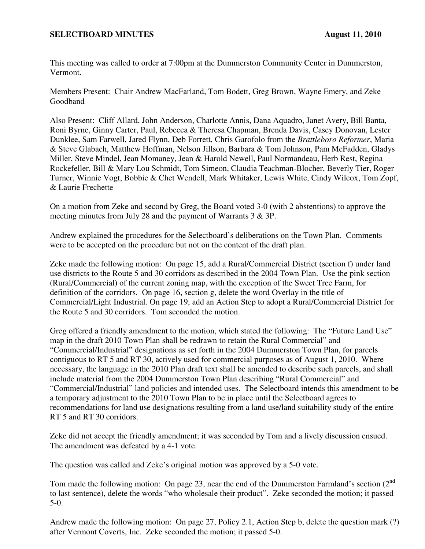## **SELECTBOARD MINUTES** August 11, 2010

This meeting was called to order at 7:00pm at the Dummerston Community Center in Dummerston, Vermont.

Members Present: Chair Andrew MacFarland, Tom Bodett, Greg Brown, Wayne Emery, and Zeke Goodband

Also Present: Cliff Allard, John Anderson, Charlotte Annis, Dana Aquadro, Janet Avery, Bill Banta, Roni Byrne, Ginny Carter, Paul, Rebecca & Theresa Chapman, Brenda Davis, Casey Donovan, Lester Dunklee, Sam Farwell, Jared Flynn, Deb Forrett, Chris Garofolo from the *Brattleboro Reformer*, Maria & Steve Glabach, Matthew Hoffman, Nelson Jillson, Barbara & Tom Johnson, Pam McFadden, Gladys Miller, Steve Mindel, Jean Momaney, Jean & Harold Newell, Paul Normandeau, Herb Rest, Regina Rockefeller, Bill & Mary Lou Schmidt, Tom Simeon, Claudia Teachman-Blocher, Beverly Tier, Roger Turner, Winnie Vogt, Bobbie & Chet Wendell, Mark Whitaker, Lewis White, Cindy Wilcox, Tom Zopf, & Laurie Frechette

On a motion from Zeke and second by Greg, the Board voted 3-0 (with 2 abstentions) to approve the meeting minutes from July 28 and the payment of Warrants 3 & 3P.

Andrew explained the procedures for the Selectboard's deliberations on the Town Plan. Comments were to be accepted on the procedure but not on the content of the draft plan.

Zeke made the following motion: On page 15, add a Rural/Commercial District (section f) under land use districts to the Route 5 and 30 corridors as described in the 2004 Town Plan. Use the pink section (Rural/Commercial) of the current zoning map, with the exception of the Sweet Tree Farm, for definition of the corridors. On page 16, section g, delete the word Overlay in the title of Commercial/Light Industrial. On page 19, add an Action Step to adopt a Rural/Commercial District for the Route 5 and 30 corridors. Tom seconded the motion.

Greg offered a friendly amendment to the motion, which stated the following: The "Future Land Use" map in the draft 2010 Town Plan shall be redrawn to retain the Rural Commercial" and "Commercial/Industrial" designations as set forth in the 2004 Dummerston Town Plan, for parcels contiguous to RT 5 and RT 30, actively used for commercial purposes as of August 1, 2010. Where necessary, the language in the 2010 Plan draft text shall be amended to describe such parcels, and shall include material from the 2004 Dummerston Town Plan describing "Rural Commercial" and "Commercial/Industrial" land policies and intended uses. The Selectboard intends this amendment to be a temporary adjustment to the 2010 Town Plan to be in place until the Selectboard agrees to recommendations for land use designations resulting from a land use/land suitability study of the entire RT 5 and RT 30 corridors.

Zeke did not accept the friendly amendment; it was seconded by Tom and a lively discussion ensued. The amendment was defeated by a 4-1 vote.

The question was called and Zeke's original motion was approved by a 5-0 vote.

Tom made the following motion: On page 23, near the end of the Dummerston Farmland's section  $(2^{nd}$ to last sentence), delete the words "who wholesale their product". Zeke seconded the motion; it passed 5-0.

Andrew made the following motion: On page 27, Policy 2.1, Action Step b, delete the question mark (?) after Vermont Coverts, Inc. Zeke seconded the motion; it passed 5-0.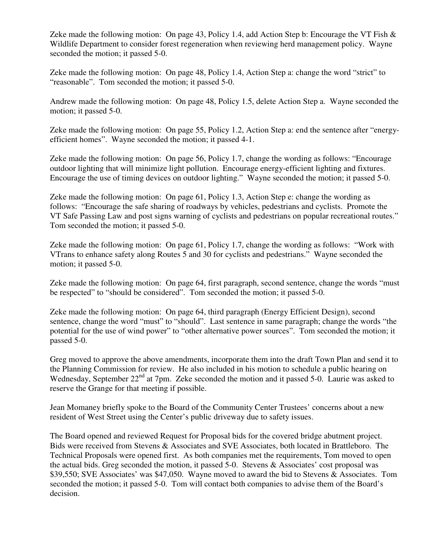Zeke made the following motion: On page 43, Policy 1.4, add Action Step b: Encourage the VT Fish & Wildlife Department to consider forest regeneration when reviewing herd management policy. Wayne seconded the motion; it passed 5-0.

Zeke made the following motion: On page 48, Policy 1.4, Action Step a: change the word "strict" to "reasonable". Tom seconded the motion; it passed 5-0.

Andrew made the following motion: On page 48, Policy 1.5, delete Action Step a. Wayne seconded the motion; it passed 5-0.

Zeke made the following motion: On page 55, Policy 1.2, Action Step a: end the sentence after "energyefficient homes". Wayne seconded the motion; it passed 4-1.

Zeke made the following motion: On page 56, Policy 1.7, change the wording as follows: "Encourage outdoor lighting that will minimize light pollution. Encourage energy-efficient lighting and fixtures. Encourage the use of timing devices on outdoor lighting." Wayne seconded the motion; it passed 5-0.

Zeke made the following motion: On page 61, Policy 1.3, Action Step e: change the wording as follows: "Encourage the safe sharing of roadways by vehicles, pedestrians and cyclists. Promote the VT Safe Passing Law and post signs warning of cyclists and pedestrians on popular recreational routes." Tom seconded the motion; it passed 5-0.

Zeke made the following motion: On page 61, Policy 1.7, change the wording as follows: "Work with VTrans to enhance safety along Routes 5 and 30 for cyclists and pedestrians." Wayne seconded the motion; it passed 5-0.

Zeke made the following motion: On page 64, first paragraph, second sentence, change the words "must be respected" to "should be considered". Tom seconded the motion; it passed 5-0.

Zeke made the following motion: On page 64, third paragraph (Energy Efficient Design), second sentence, change the word "must" to "should". Last sentence in same paragraph; change the words "the potential for the use of wind power" to "other alternative power sources". Tom seconded the motion; it passed 5-0.

Greg moved to approve the above amendments, incorporate them into the draft Town Plan and send it to the Planning Commission for review. He also included in his motion to schedule a public hearing on Wednesday, September 22<sup>nd</sup> at 7pm. Zeke seconded the motion and it passed 5-0. Laurie was asked to reserve the Grange for that meeting if possible.

Jean Momaney briefly spoke to the Board of the Community Center Trustees' concerns about a new resident of West Street using the Center's public driveway due to safety issues.

The Board opened and reviewed Request for Proposal bids for the covered bridge abutment project. Bids were received from Stevens & Associates and SVE Associates, both located in Brattleboro. The Technical Proposals were opened first. As both companies met the requirements, Tom moved to open the actual bids. Greg seconded the motion, it passed 5-0. Stevens & Associates' cost proposal was \$39,550; SVE Associates' was \$47,050. Wayne moved to award the bid to Stevens & Associates. Tom seconded the motion; it passed 5-0. Tom will contact both companies to advise them of the Board's decision.